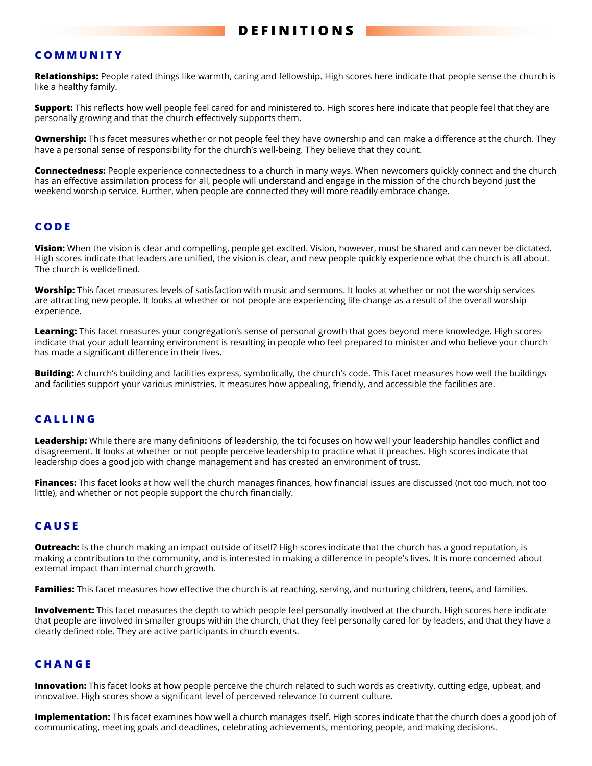### **COMMUNITY**

**Relationships:** People rated things like warmth, caring and fellowship. High scores here indicate that people sense the church is like a healthy family.

**Support:** This reflects how well people feel cared for and ministered to. High scores here indicate that people feel that they are personally growing and that the church effectively supports them.

**Ownership:** This facet measures whether or not people feel they have ownership and can make a difference at the church. They have a personal sense of responsibility for the church's well-being. They believe that they count.

**Connectedness:** People experience connectedness to a church in many ways. When newcomers quickly connect and the church has an effective assimilation process for all, people will understand and engage in the mission of the church beyond just the weekend worship service. Further, when people are connected they will more readily embrace change.

### **CODE**

**Vision:** When the vision is clear and compelling, people get excited. Vision, however, must be shared and can never be dictated. High scores indicate that leaders are unified, the vision is clear, and new people quickly experience what the church is all about. The church is welldefined.

**Worship:** This facet measures levels of satisfaction with music and sermons. It looks at whether or not the worship services are attracting new people. It looks at whether or not people are experiencing life-change as a result of the overall worship experience.

**Learning:** This facet measures your congregation's sense of personal growth that goes beyond mere knowledge. High scores indicate that your adult learning environment is resulting in people who feel prepared to minister and who believe your church has made a significant difference in their lives.

**Building:** A church's building and facilities express, symbolically, the church's code. This facet measures how well the buildings and facilities support your various ministries. It measures how appealing, friendly, and accessible the facilities are.

#### **CALLING**

**Leadership:** While there are many definitions of leadership, the tci focuses on how well your leadership handles conflict and disagreement. It looks at whether or not people perceive leadership to practice what it preaches. High scores indicate that leadership does a good job with change management and has created an environment of trust.

**Finances:** This facet looks at how well the church manages finances, how financial issues are discussed (not too much, not too little), and whether or not people support the church financially.

#### **CAUSE**

**Outreach:** Is the church making an impact outside of itself? High scores indicate that the church has a good reputation, is making a contribution to the community, and is interested in making a difference in people's lives. It is more concerned about external impact than internal church growth.

**Families:** This facet measures how effective the church is at reaching, serving, and nurturing children, teens, and families.

**Involvement:** This facet measures the depth to which people feel personally involved at the church. High scores here indicate that people are involved in smaller groups within the church, that they feel personally cared for by leaders, and that they have a clearly defined role. They are active participants in church events.

### **CHANGE**

**Innovation:** This facet looks at how people perceive the church related to such words as creativity, cutting edge, upbeat, and innovative. High scores show a significant level of perceived relevance to current culture.

**Implementation:** This facet examines how well a church manages itself. High scores indicate that the church does a good job of communicating, meeting goals and deadlines, celebrating achievements, mentoring people, and making decisions.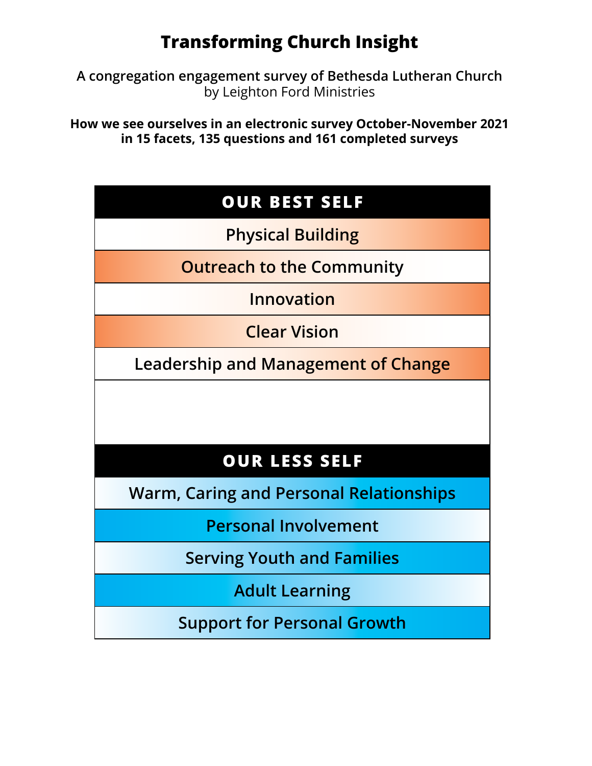# **Transforming Church Insight**

**A congregation engagement survey of Bethesda Lutheran Church**  by Leighton Ford Ministries

**How we see ourselves in an electronic survey October-November 2021 in 15 facets, 135 questions and 161 completed surveys**

| <b>OUR BEST SELF</b>                           |
|------------------------------------------------|
| <b>Physical Building</b>                       |
| <b>Outreach to the Community</b>               |
| Innovation                                     |
| <b>Clear Vision</b>                            |
| Leadership and Management of Change            |
|                                                |
| <b>OUR LESS SELF</b>                           |
| <b>Warm, Caring and Personal Relationships</b> |
| <b>Personal Involvement</b>                    |
| <b>Serving Youth and Families</b>              |
| <b>Adult Learning</b>                          |
| <b>Support for Personal Growth</b>             |
|                                                |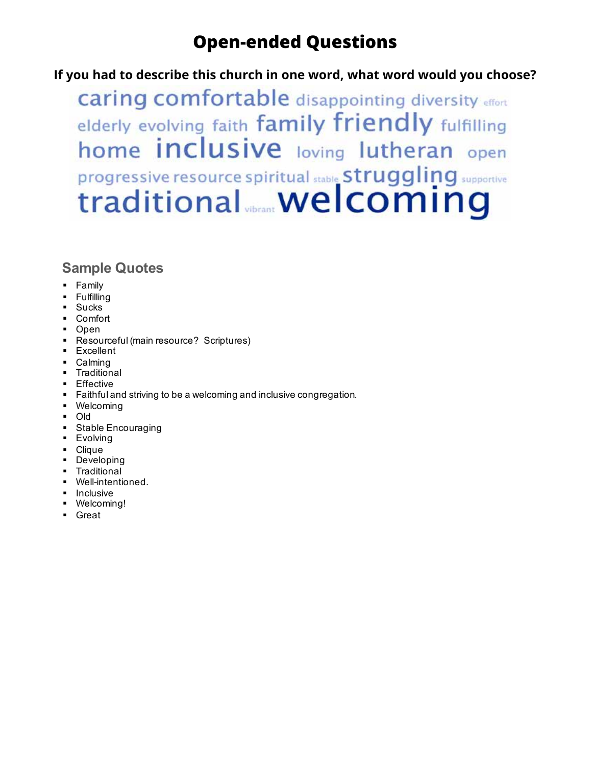### **Open-ended Questions If you had to describe this church in one word, what word would you**

**If you had to describe this church in one word, what word would you choose?**

**caring comfortable** disappointing diversity effort elderly evolving faith family friendly fulfilling home inclusive loving lutheran open progressive resource spiritual stable Struggling supportive traditional welcoming

- § Family
- § Fulfilling
- § Sucks
- Comfort
- Open
- § Resourceful (main resource? Scriptures)
- § Excellent
- § Calming
- § Traditional
- § Effective
- Faithful and striving to be a welcoming and inclusive congregation.
- § Welcoming
- § Old
- Stable Encouraging
- § Evolving
- § Clique
- Developing
- § Traditional
- § Well-intentioned.
- Inclusive
- § Welcoming!
- § Great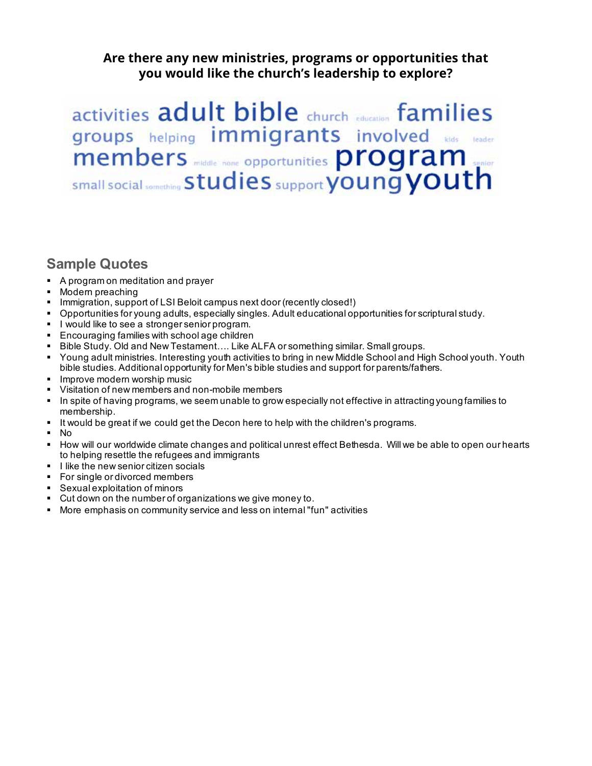**Are there any new ministries, programs or opportunities that you would like the church's leadership to explore?**

activities adult bible church education families groups helping immigrants involved Rids leader members middle none opportunities program small social something Studies support young youth

- § A program on meditation and prayer
- § Modern preaching
- Immigration, support of LSI Beloit campus next door (recently closed!)
- § Opportunities for young adults, especially singles. Adult educational opportunities for scriptural study.
- **I would like to see a stronger senior program.**
- Encouraging families with school age children<br>■ Bible Study, Old and New Testament..., Like A
- § Bible Study. Old and New Testament…. Like ALFA or something similar. Small groups.
- § Young adult ministries. Interesting youth activities to bring in new Middle School and High School youth. Youth bible studies. Additional opportunity for Men's bible studies and support for parents/fathers.
- Improve modern worship music
- § Visitation of new members and non-mobile members
- In spite of having programs, we seem unable to grow especially not effective in attracting young families to membership.
- § It would be great if we could get the Decon here to help with the children's programs.
- § No
- § How will our worldwide climate changes and political unrest effect Bethesda. Will we be able to open our hearts to helping resettle the refugees and immigrants
- **•** I like the new senior citizen socials
- For single or divorced members
- § Sexual exploitation of minors
- § Cut down on the number of organizations we give money to.
- § More emphasis on community service and less on internal "fun" activities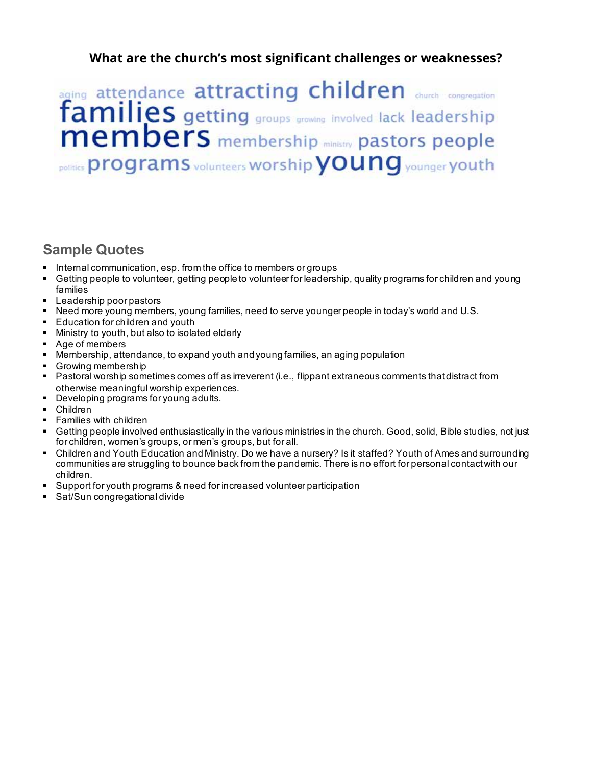## **What are the church's most significant challenges or weaknesses?**

aging attendance attracting children church congregation families getting groups growing involved lack leadership membership ministry pastors people politics programs volunteers Worship you ng younger youth

- Internal communication, esp. from the office to members or groups
- § Getting people to volunteer, getting people to volunteer for leadership, quality programs for children and young families
- Leadership poor pastors
- § Need more young members, young families, need to serve younger people in today's world and U.S.
- Education for children and youth
- Ministry to youth, but also to isolated elderly
- Age of members
- § Membership, attendance, to expand youth and young families, an aging population
- Growing membership
- § Pastoral worship sometimes comes off as irreverent (i.e., flippant extraneous comments that distract from otherwise meaningful worship experiences.
- Developing programs for young adults.
- § Children
- § Families with children
- § Getting people involved enthusiastically in the various ministries in the church. Good, solid, Bible studies, not just for children, women's groups, or men's groups, but for all.
- § Children and Youth Education and Ministry. Do we have a nursery? Is it staffed? Youth of Ames and surrounding communities are struggling to bounce back from the pandemic. There is no effort for personal contact with our children.
- Support for youth programs & need for increased volunteer participation
- § Sat/Sun congregational divide